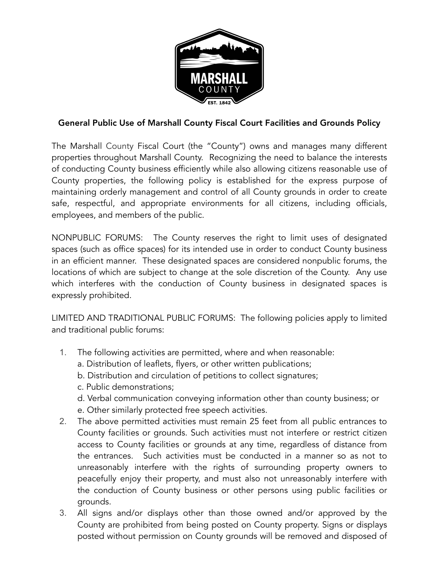

## General Public Use of Marshall County Fiscal Court Facilities and Grounds Policy

The Marshall County Fiscal Court (the "County") owns and manages many different properties throughout Marshall County. Recognizing the need to balance the interests of conducting County business efficiently while also allowing citizens reasonable use of County properties, the following policy is established for the express purpose of maintaining orderly management and control of all County grounds in order to create safe, respectful, and appropriate environments for all citizens, including officials, employees, and members of the public.

NONPUBLIC FORUMS: The County reserves the right to limit uses of designated spaces (such as office spaces) for its intended use in order to conduct County business in an efficient manner. These designated spaces are considered nonpublic forums, the locations of which are subject to change at the sole discretion of the County. Any use which interferes with the conduction of County business in designated spaces is expressly prohibited.

LIMITED AND TRADITIONAL PUBLIC FORUMS: The following policies apply to limited and traditional public forums:

- 1. The following activities are permitted, where and when reasonable:
	- a. Distribution of leaflets, flyers, or other written publications;
	- b. Distribution and circulation of petitions to collect signatures;
	- c. Public demonstrations;
	- d. Verbal communication conveying information other than county business; or
	- e. Other similarly protected free speech activities.
- 2. The above permitted activities must remain 25 feet from all public entrances to County facilities or grounds. Such activities must not interfere or restrict citizen access to County facilities or grounds at any time, regardless of distance from the entrances. Such activities must be conducted in a manner so as not to unreasonably interfere with the rights of surrounding property owners to peacefully enjoy their property, and must also not unreasonably interfere with the conduction of County business or other persons using public facilities or grounds.
- 3. All signs and/or displays other than those owned and/or approved by the County are prohibited from being posted on County property. Signs or displays posted without permission on County grounds will be removed and disposed of